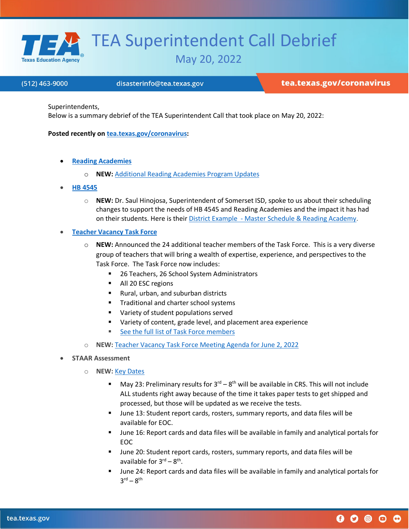

## TEA Superintendent Call Debrief

May 20, 2022

## (512) 463-9000

disasterinfo@tea.texas.gov

tea.texas.gov/coronavirus

 $0$  0 0 0 0

Superintendents,

Below is a summary debrief of the TEA Superintendent Call that took place on May 20, 2022:

**Posted recently on [tea.texas.gov/coronavirus:](https://tea.texas.gov/texas-schools/health-safety-discipline/covid/coronavirus-covid-19-support-and-guidance)** 

- **[Reading Academies](https://tea.texas.gov/academics/early-childhood-education/reading/hb-3-reading-academies)**
	- o **NEW:** [Additional Reading Academies Program Updates](https://tea.texas.gov/sites/default/files/covid/reading-academies-and-math-teachers.pdf)
- **[HB 4545](https://tea.texas.gov/texas-schools/health-safety-discipline/covid/accelerated-learning-resources)**
	- o **NEW:** Dr. Saul Hinojosa, Superintendent of Somerset ISD, spoke to us about their scheduling changes to support the needs of HB 4545 and Reading Academies and the impact it has had on their students. Here is their District Example - [Master Schedule & Reading Academy.](https://tea.texas.gov/sites/default/files/somerset-junior-high-master-schedule-and-reading.pdf)
- **[Teacher Vacancy Task](https://tea.texas.gov/texas-schools/health-safety-discipline/covid/teacher-vacancy-task-force-overview) Force**
	- o **NEW:** Announced the 24 additional teacher members of the Task Force. This is a very diverse group of teachers that will bring a wealth of expertise, experience, and perspectives to the Task Force. The Task Force now includes:
		- 26 Teachers, 26 School System Administrators
		- All 20 ESC regions
		- Rural, urban, and suburban districts
		- **Traditional and charter school systems**
		- **Variety of student populations served**
		- Variety of content, grade level, and placement area experience
		- [See the full list of Task Force members](https://tea.texas.gov/texas-schools/health-safety-discipline/covid/teacher-vacancy-task-force-membership)
	- NEW: [Teacher Vacancy Task Force Meeting Agenda for June 2, 2022](https://tea.texas.gov/sites/default/files/covid/tvtf-meeting-agenda-june2022.pdf)
- **STAAR Assessment**
	- o **NEW:** [Key Dates](https://txassessmentdocs.atlassian.net/wiki/spaces/ODCCM/pages/2547985364/Calendar+of+Events?preview=/2547985364/2586116097/2021-2022_Calendar_of_Events_112921.pdf)
		- May 23: Preliminary results for  $3^{rd} 8^{th}$  will be available in CRS. This will not include ALL students right away because of the time it takes paper tests to get shipped and processed, but those will be updated as we receive the tests.
		- June 13: Student report cards, rosters, summary reports, and data files will be available for EOC.
		- June 16: Report cards and data files will be available in family and analytical portals for EOC
		- June 20: Student report cards, rosters, summary reports, and data files will be available for 3<sup>rd</sup> – 8<sup>th</sup>.
		- June 24: Report cards and data files will be available in family and analytical portals for  $3^{\text{rd}} - 8^{\text{th}}$